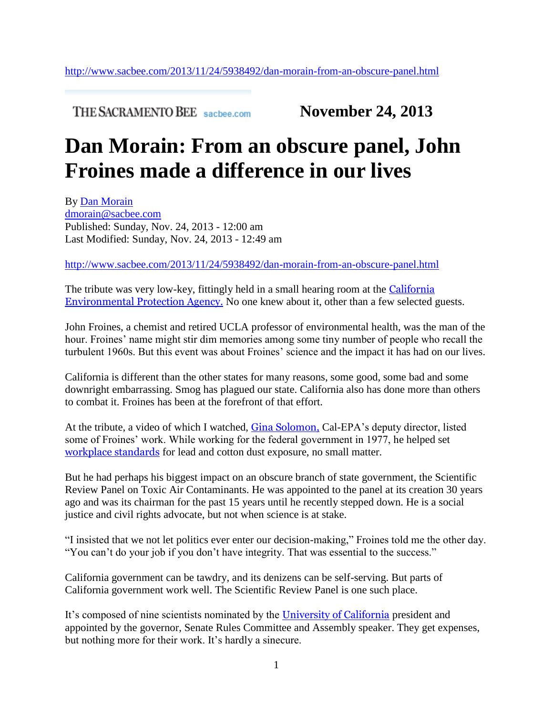**THE SACRAMENTO BEE** sacbee.com **November 24, 2013** 

## **Dan Morain: From an obscure panel, John Froines made a difference in our lives**

By [Dan Morain](http://www.sacbee.com/search_results/?sf_pubsys_story_byline=Dan%20Morain&link_location=top) [dmorain@sacbee.com](mailto:dmorain@sacbee.com) Published: Sunday, Nov. 24, 2013 - 12:00 am Last Modified: Sunday, Nov. 24, 2013 - 12:49 am

<http://www.sacbee.com/2013/11/24/5938492/dan-morain-from-an-obscure-panel.html>

The tribute was very low-key, fittingly held in a small hearing room at the [California](http://topics.sacbee.com/California+Environmental+Protection+Agency/)  [Environmental Protection Agency.](http://topics.sacbee.com/California+Environmental+Protection+Agency/) No one knew about it, other than a few selected guests.

John Froines, a chemist and retired UCLA professor of environmental health, was the man of the hour. Froines' name might stir dim memories among some tiny number of people who recall the turbulent 1960s. But this event was about Froines' science and the impact it has had on our lives.

California is different than the other states for many reasons, some good, some bad and some downright embarrassing. Smog has plagued our state. California also has done more than others to combat it. Froines has been at the forefront of that effort.

At the tribute, a video of which I watched, [Gina Solomon,](http://topics.sacbee.com/Gina+Solomon/) Cal-EPA's deputy director, listed some of Froines' work. While working for the federal government in 1977, he helped set [workplace standards](http://topics.sacbee.com/workplace+standards/) for lead and cotton dust exposure, no small matter.

But he had perhaps his biggest impact on an obscure branch of state government, the Scientific Review Panel on Toxic Air Contaminants. He was appointed to the panel at its creation 30 years ago and was its chairman for the past 15 years until he recently stepped down. He is a social justice and civil rights advocate, but not when science is at stake.

"I insisted that we not let politics ever enter our decision-making," Froines told me the other day. "You can't do your job if you don't have integrity. That was essential to the success."

California government can be tawdry, and its denizens can be self-serving. But parts of California government work well. The Scientific Review Panel is one such place.

It's composed of nine scientists nominated by the [University of California](http://topics.sacbee.com/University+of+California/) president and appointed by the governor, Senate Rules Committee and Assembly speaker. They get expenses, but nothing more for their work. It's hardly a sinecure.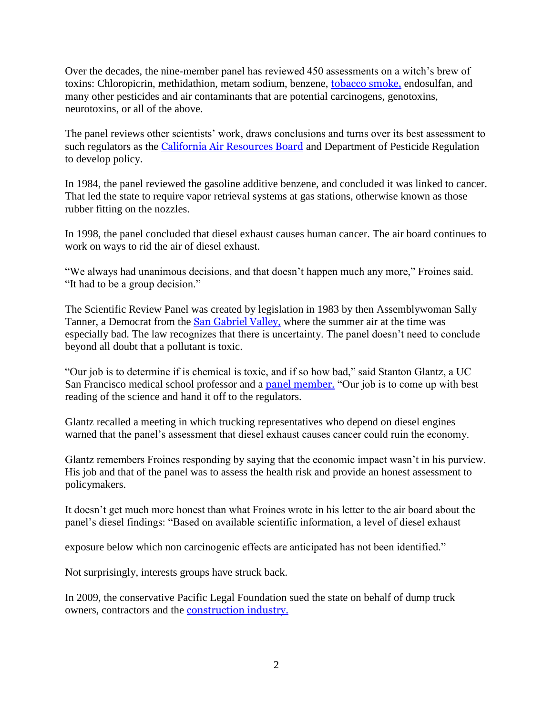Over the decades, the nine-member panel has reviewed 450 assessments on a witch's brew of toxins: Chloropicrin, methidathion, metam sodium, benzene, [tobacco smoke,](http://topics.sacbee.com/tobacco+smoke/) endosulfan, and many other pesticides and air contaminants that are potential carcinogens, genotoxins, neurotoxins, or all of the above.

The panel reviews other scientists' work, draws conclusions and turns over its best assessment to such regulators as the [California Air Resources Board](http://topics.sacbee.com/California+Air+Resources+Board/) and Department of Pesticide Regulation to develop policy.

In 1984, the panel reviewed the gasoline additive benzene, and concluded it was linked to cancer. That led the state to require vapor retrieval systems at gas stations, otherwise known as those rubber fitting on the nozzles.

In 1998, the panel concluded that diesel exhaust causes human cancer. The air board continues to work on ways to rid the air of diesel exhaust.

"We always had unanimous decisions, and that doesn't happen much any more," Froines said. "It had to be a group decision."

The Scientific Review Panel was created by legislation in 1983 by then Assemblywoman Sally Tanner, a Democrat from the [San Gabriel Valley,](http://topics.sacbee.com/San+Gabriel+Valley/) where the summer air at the time was especially bad. The law recognizes that there is uncertainty. The panel doesn't need to conclude beyond all doubt that a pollutant is toxic.

"Our job is to determine if is chemical is toxic, and if so how bad," said Stanton Glantz, a UC San Francisco medical school professor and a [panel member.](http://topics.sacbee.com/panel+member/) "Our job is to come up with best reading of the science and hand it off to the regulators.

Glantz recalled a meeting in which trucking representatives who depend on diesel engines warned that the panel's assessment that diesel exhaust causes cancer could ruin the economy.

Glantz remembers Froines responding by saying that the economic impact wasn't in his purview. His job and that of the panel was to assess the health risk and provide an honest assessment to policymakers.

It doesn't get much more honest than what Froines wrote in his letter to the air board about the panel's diesel findings: "Based on available scientific information, a level of diesel exhaust

exposure below which non carcinogenic effects are anticipated has not been identified."

Not surprisingly, interests groups have struck back.

In 2009, the conservative Pacific Legal Foundation sued the state on behalf of dump truck owners, contractors and the [construction industry.](http://topics.sacbee.com/construction+industry/)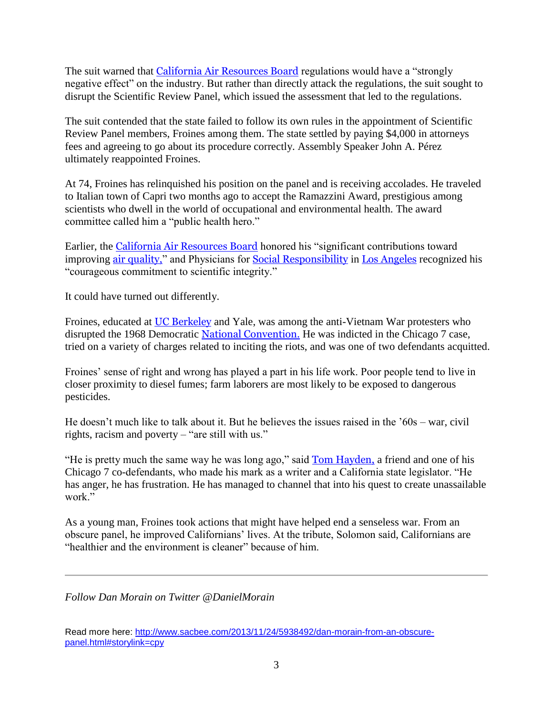The suit warned that [California Air Resources Board](http://topics.sacbee.com/California+Air+Resources+Board/) regulations would have a "strongly negative effect" on the industry. But rather than directly attack the regulations, the suit sought to disrupt the Scientific Review Panel, which issued the assessment that led to the regulations.

The suit contended that the state failed to follow its own rules in the appointment of Scientific Review Panel members, Froines among them. The state settled by paying \$4,000 in attorneys fees and agreeing to go about its procedure correctly. Assembly Speaker John A. Pérez ultimately reappointed Froines.

At 74, Froines has relinquished his position on the panel and is receiving accolades. He traveled to Italian town of Capri two months ago to accept the Ramazzini Award, prestigious among scientists who dwell in the world of occupational and environmental health. The award committee called him a "public health hero."

Earlier, the [California Air Resources Board](http://topics.sacbee.com/California+Air+Resources+Board/) honored his "significant contributions toward improving [air quality,](http://topics.sacbee.com/air+quality/)" and Physicians for [Social Responsibility](http://topics.sacbee.com/Social+Responsibility/) in [Los Angeles](http://topics.sacbee.com/Los+Angeles/) recognized his "courageous commitment to scientific integrity."

It could have turned out differently.

Froines, educated at [UC Berkeley](http://topics.sacbee.com/UC+Berkeley/) and Yale, was among the anti-Vietnam War protesters who disrupted the 1968 Democratic [National Convention.](http://topics.sacbee.com/National+Convention/) He was indicted in the Chicago 7 case, tried on a variety of charges related to inciting the riots, and was one of two defendants acquitted.

Froines' sense of right and wrong has played a part in his life work. Poor people tend to live in closer proximity to diesel fumes; farm laborers are most likely to be exposed to dangerous pesticides.

He doesn't much like to talk about it. But he believes the issues raised in the '60s – war, civil rights, racism and poverty – "are still with us."

"He is pretty much the same way he was long ago," said [Tom Hayden,](http://topics.sacbee.com/Tom+Hayden/) a friend and one of his Chicago 7 co-defendants, who made his mark as a writer and a California state legislator. "He has anger, he has frustration. He has managed to channel that into his quest to create unassailable work."

As a young man, Froines took actions that might have helped end a senseless war. From an obscure panel, he improved Californians' lives. At the tribute, Solomon said, Californians are "healthier and the environment is cleaner" because of him.

*Follow Dan Morain on Twitter @DanielMorain*

Read more here: [http://www.sacbee.com/2013/11/24/5938492/dan-morain-from-an-obscure](http://www.sacbee.com/2013/11/24/5938492/dan-morain-from-an-obscure-panel.html#storylink=cpy)[panel.html#storylink=cpy](http://www.sacbee.com/2013/11/24/5938492/dan-morain-from-an-obscure-panel.html#storylink=cpy)